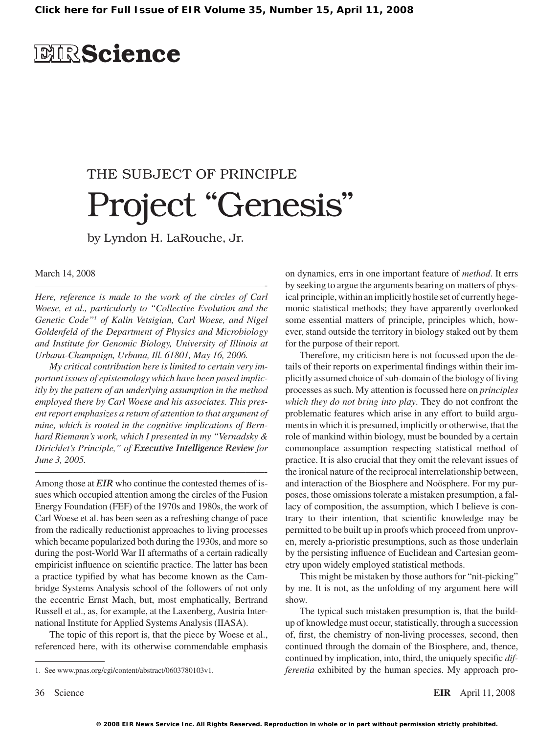## **EIRScience**

# THE SUBJECT OF PRINCIPLE Project "Genesis"

by Lyndon H. LaRouche, Jr.

#### March 14, 2008

*Here, reference is made to the work of the circles of Carl Woese, et al., particularly to "Collective Evolution and the Genetic Code" of Kalin Vetsigian, Carl Woese, and Nigel Goldenfeld of the Department of Physics and Microbiology and Institute for Genomic Biology, University of Illinois at Urbana-Champaign, Urbana, Ill. 61801, May 16, 2006.*

————————————————————————-

*My critical contribution here is limited to certain very important issues of epistemology which have been posed implicitly by the pattern of an underlying assumption in the method employed there by Carl Woese and his associates. This present report emphasizes a return of attention to that argument of mine, which is rooted in the cognitive implications of Bernhard Riemann's work, which I presented in my "Vernadsky & Dirichlet's Principle," of Executive Intelligence Review for June 3, 2005.*

————————————————————————-

Among those at *EIR* who continue the contested themes of issues which occupied attention among the circles of the Fusion Energy Foundation (FEF) of the 1970s and 1980s, the work of Carl Woese et al. has been seen as a refreshing change of pace from the radically reductionist approaches to living processes which became popularized both during the 1930s, and more so during the post-World War II aftermaths of a certain radically empiricist influence on scientific practice. The latter has been a practice typified by what has become known as the Cambridge Systems Analysis school of the followers of not only the eccentric Ernst Mach, but, most emphatically, Bertrand Russell et al., as, for example, at the Laxenberg, Austria International Institute for Applied Systems Analysis (IIASA).

The topic of this report is, that the piece by Woese et al., referenced here, with its otherwise commendable emphasis on dynamics, errs in one important feature of *method*. It errs by seeking to argue the arguments bearing on matters of physical principle, within an implicitly hostile set of currently hegemonic statistical methods; they have apparently overlooked some essential matters of principle, principles which, however, stand outside the territory in biology staked out by them for the purpose of their report.

Therefore, my criticism here is not focussed upon the details of their reports on experimental findings within their implicitly assumed choice of sub-domain of the biology of living processes assuch. My attention isfocussed here on *principles which they do not bring into play*. They do not confront the problematic features which arise in any effort to build arguments in which it is presumed, implicitly or otherwise, that the role of mankind within biology, must be bounded by a certain commonplace assumption respecting statistical method of practice. It is also crucial that they omit the relevant issues of the ironical nature of the reciprocal interrelationship between, and interaction of the Biosphere and Noösphere. For my purposes, those omissions tolerate a mistaken presumption, a fallacy of composition, the assumption, which I believe is contrary to their intention, that scientific knowledge may be permitted to be built up in proofs which proceed from unproven, merely a-prioristic presumptions, such as those underlain by the persisting influence of Euclidean and Cartesian geometry upon widely employed statistical methods.

This might be mistaken by those authors for "nit-picking" by me. It is not, as the unfolding of my argument here will show.

The typical such mistaken presumption is, that the buildup of knowledge must occur, statistically, through a succession of, first, the chemistry of non-living processes, second, then continued through the domain of the Biosphere, and, thence, continued by implication, into, third, the uniquely specific *differentia* exhibited by the human species. My approach pro-

<sup>.</sup> See www.pnas.org/cgi/content/abstract/0603780103v1.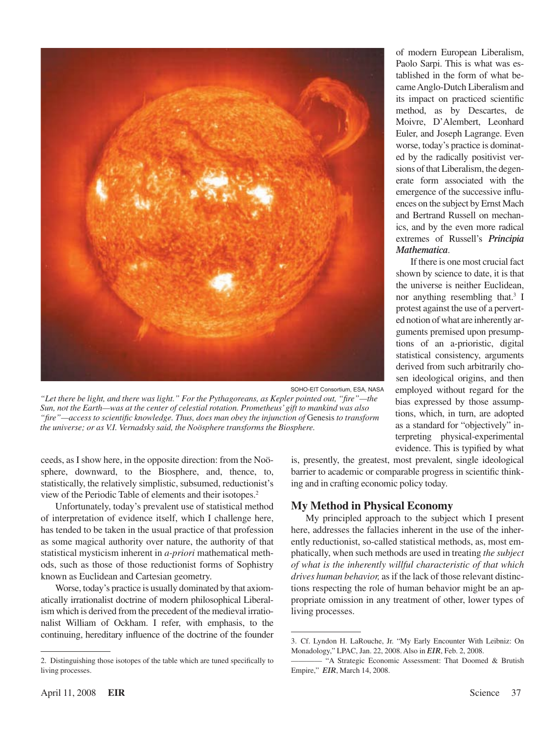

SOHO-EIT Consortium, ESA, NASA

*"Let there be light, and there was light." For the Pythagoreans, as Kepler pointed out, "fire"—the Sun, not the Earth—was at the center of celestial rotation. Prometheus' gift to mankind was also "fire"—access to scientific knowledge. Thus, does man obey the injunction of* Genesis *to transform the universe; or as V.I. Vernadsky said, the Noösphere transforms the Biosphere.*

ceeds, as I show here, in the opposite direction: from the Noösphere, downward, to the Biosphere, and, thence, to, statistically, the relatively simplistic, subsumed, reductionist's view of the Periodic Table of elements and their isotopes.

Unfortunately, today's prevalent use of statistical method of interpretation of evidence itself, which I challenge here, has tended to be taken in the usual practice of that profession as some magical authority over nature, the authority of that statistical mysticism inherent in *a-priori* mathematical methods, such as those of those reductionist forms of Sophistry known as Euclidean and Cartesian geometry.

Worse, today's practice is usually dominated by that axiomatically irrationalist doctrine of modern philosophical Liberalism which is derived from the precedent of the medieval irrationalist William of Ockham. I refer, with emphasis, to the continuing, hereditary influence of the doctrine of the founder is, presently, the greatest, most prevalent, single ideological barrier to academic or comparable progress in scientific thinking and in crafting economic policy today.

*Mathematica*.

If there is one most crucial fact shown by science to date, it is that the universe is neither Euclidean, nor anything resembling that.<sup>3</sup> I protest against the use of a perverted notion of what are inherently arguments premised upon presumptions of an a-prioristic, digital statistical consistency, arguments derived from such arbitrarily chosen ideological origins, and then employed without regard for the bias expressed by those assumptions, which, in turn, are adopted as a standard for "objectively" interpreting physical-experimental evidence. This is typified by what

of modern European Liberalism, Paolo Sarpi. This is what was established in the form of what becameAnglo-Dutch Liberalism and its impact on practiced scientific method, as by Descartes, de Moivre, D'Alembert, Leonhard Euler, and Joseph Lagrange. Even worse, today's practice is dominated by the radically positivist versions of that Liberalism, the degenerate form associated with the emergence of the successive influences on the subject by Ernst Mach and Bertrand Russell on mechanics, and by the even more radical extremes of Russell's *Principia* 

#### **My Method in Physical Economy**

My principled approach to the subject which I present here, addresses the fallacies inherent in the use of the inherently reductionist, so-called statistical methods, as, most emphatically, when such methods are used in treating *the subject of what is the inherently willful characteristic of that which drives human behavior,* asif the lack of those relevant distinctions respecting the role of human behavior might be an appropriate omission in any treatment of other, lower types of living processes.

<sup>.</sup> Distinguishing those isotopes of the table which are tuned specifically to living processes.

<sup>.</sup> Cf. Lyndon H. LaRouche, Jr. "My Early Encounter With Leibniz: On Monadology," LPAC, Jan. 22, 2008. Also in *EIR*, Feb. 2, 2008.

<sup>————</sup> "A Strategic Economic Assessment: That Doomed & Brutish Empire," *EIR*, March 14, 2008.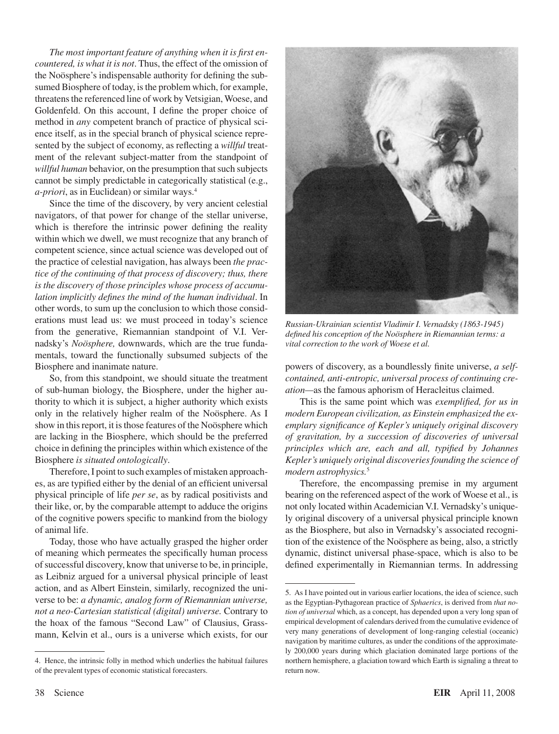*The most important feature of anything when it is first encountered, is what it is not*. Thus, the effect of the omission of the Noösphere's indispensable authority for defining the subsumed Biosphere of today, is the problem which, for example, threatens the referenced line of work by Vetsigian, Woese, and Goldenfeld. On this account, I define the proper choice of method in *any* competent branch of practice of physical science itself, as in the special branch of physical science represented by the subject of economy, as reflecting a *willful* treatment of the relevant subject-matter from the standpoint of *willful human* behavior, on the presumption that such subjects cannot be simply predictable in categorically statistical (e.g., *a-priori*, as in Euclidean) or similar ways.

Since the time of the discovery, by very ancient celestial navigators, of that power for change of the stellar universe, which is therefore the intrinsic power defining the reality within which we dwell, we must recognize that any branch of competent science, since actual science was developed out of the practice of celestial navigation, has always been *the practice of the continuing of that process of discovery; thus, there is the discovery of those principles whose process of accumulation implicitly defines the mind of the human individual*. In other words, to sum up the conclusion to which those considerations must lead us: we must proceed in today's science from the generative, Riemannian standpoint of V.I. Vernadsky's *Noösphere,* downwards, which are the true fundamentals, toward the functionally subsumed subjects of the Biosphere and inanimate nature.

So, from this standpoint, we should situate the treatment of sub-human biology, the Biosphere, under the higher authority to which it is subject, a higher authority which exists only in the relatively higher realm of the Noösphere. As I show in this report, it is those features of the Noösphere which are lacking in the Biosphere, which should be the preferred choice in defining the principles within which existence of the Biosphere *is situated ontologically*.

Therefore,I point to such examples of mistaken approaches, as are typified either by the denial of an efficient universal physical principle of life *per se*, as by radical positivists and their like, or, by the comparable attempt to adduce the origins of the cognitive powers specific to mankind from the biology of animal life.

Today, those who have actually grasped the higher order of meaning which permeates the specifically human process of successful discovery, know that universe to be, in principle, as Leibniz argued for a universal physical principle of least action, and as Albert Einstein, similarly, recognized the universe to be: *a dynamic, analog form of Riemannian universe, not a neo-Cartesian statistical (digital) universe.* Contrary to the hoax of the famous "Second Law" of Clausius, Grassmann, Kelvin et al., ours is a universe which exists, for our



*Russian-Ukrainian scientist Vladimir I. Vernadsky (1863-1945) defined his conception of the Noösphere in Riemannian terms: a vital correction to the work of Woese et al.*

powers of discovery, as a boundlessly finite universe, *a selfcontained, anti-entropic, universal process of continuing creation—*as the famous aphorism of Heracleitus claimed.

This is the same point which was *exemplified, for us in modern European civilization, as Einstein emphasized the exemplary significance of Kepler's uniquely original discovery of gravitation, by a succession of discoveries of universal principles which are, each and all, typified by Johannes Kepler's uniquely original discoveries founding the science of modern astrophysics.*

Therefore, the encompassing premise in my argument bearing on the referenced aspect of the work of Woese et al., is not only located within Academician V.I. Vernadsky's uniquely original discovery of a universal physical principle known as the Biosphere, but also in Vernadsky's associated recognition of the existence of the Noösphere as being, also, a strictly dynamic, distinct universal phase-space, which is also to be defined experimentally in Riemannian terms. In addressing

<sup>.</sup> Hence, the intrinsic folly in method which underlies the habitual failures of the prevalent types of economic statistical forecasters.

<sup>.</sup> As I have pointed out in various earlier locations, the idea of science, such as the Egyptian-Pythagorean practice of *Sphaerics*, is derived from *that notion of universal* which, as a concept, has depended upon a very long span of empirical development of calendars derived from the cumulative evidence of very many generations of development of long-ranging celestial (oceanic) navigation by maritime cultures, as under the conditions of the approximately 200,000 years during which glaciation dominated large portions of the northern hemisphere, a glaciation toward which Earth is signaling a threat to return now.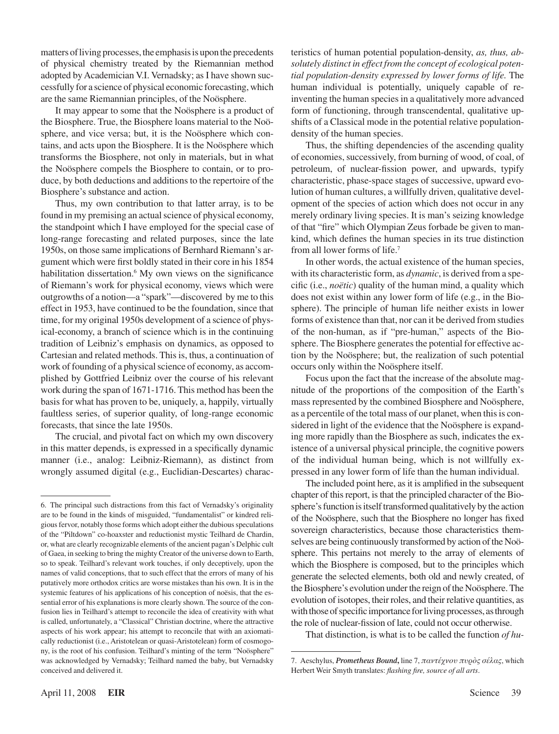matters of living processes, the emphasis is upon the precedents of physical chemistry treated by the Riemannian method adopted by Academician V.I. Vernadsky; as I have shown successfully for a science of physical economic forecasting, which are the same Riemannian principles, of the Noösphere.

It may appear to some that the Noösphere is a product of the Biosphere. True, the Biosphere loans material to the Noösphere, and vice versa; but, it is the Noösphere which contains, and acts upon the Biosphere. It is the Noösphere which transforms the Biosphere, not only in materials, but in what the Noösphere compels the Biosphere to contain, or to produce, by both deductions and additions to the repertoire of the Biosphere's substance and action.

Thus, my own contribution to that latter array, is to be found in my premising an actual science of physical economy, the standpoint which I have employed for the special case of long-range forecasting and related purposes, since the late 1950s, on those same implications of Bernhard Riemann's argument which were first boldly stated in their core in his 1854 habilitation dissertation. $6$  My own views on the significance of Riemann's work for physical economy, views which were outgrowths of a notion—a "spark"—discovered by me to this effect in 1953, have continued to be the foundation, since that time, for my original 1950s development of a science of physical-economy, a branch of science which is in the continuing tradition of Leibniz's emphasis on dynamics, as opposed to Cartesian and related methods. This is, thus, a continuation of work of founding of a physical science of economy, as accomplished by Gottfried Leibniz over the course of his relevant work during the span of 1671-1716. This method has been the basis for what has proven to be, uniquely, a, happily, virtually faultless series, of superior quality, of long-range economic forecasts, that since the late 1950s.

The crucial, and pivotal fact on which my own discovery in this matter depends, is expressed in a specifically dynamic manner (i.e., analog: Leibniz-Riemann), as distinct from wrongly assumed digital (e.g., Euclidian-Descartes) characteristics of human potential population-density, *as, thus, absolutely distinct in effect from the concept of ecological potential population-density expressed by lower forms of life.* The human individual is potentially, uniquely capable of reinventing the human species in a qualitatively more advanced form of functioning, through transcendental, qualitative upshifts of a Classical mode in the potential relative populationdensity of the human species.

Thus, the shifting dependencies of the ascending quality of economies, successively, from burning of wood, of coal, of petroleum, of nuclear-fission power, and upwards, typify characteristic, phase-space stages of successive, upward evolution of human cultures, a willfully driven, qualitative development of the species of action which does not occur in any merely ordinary living species. It is man's seizing knowledge of that "fire" which Olympian Zeus forbade be given to mankind, which defines the human species in its true distinction from all lower forms of life.

In other words, the actual existence of the human species, with its characteristic form, as *dynamic*, is derived from a specific (i.e., *noëtic*) quality of the human mind, a quality which does not exist within any lower form of life (e.g., in the Biosphere). The principle of human life neither exists in lower forms of existence than that, nor can it be derived from studies of the non-human, as if "pre-human," aspects of the Biosphere. The Biosphere generates the potential for effective action by the Noösphere; but, the realization of such potential occurs only within the Noösphere itself.

Focus upon the fact that the increase of the absolute magnitude of the proportions of the composition of the Earth's massrepresented by the combined Biosphere and Noösphere, as a percentile of the total mass of our planet, when this is considered in light of the evidence that the Noösphere is expanding more rapidly than the Biosphere as such, indicates the existence of a universal physical principle, the cognitive powers of the individual human being, which is not willfully expressed in any lower form of life than the human individual.

The included point here, as it is amplified in the subsequent chapter of this report, is that the principled character of the Biosphere's function is itself transformed qualitatively by the action of the Noösphere, such that the Biosphere no longer has fixed sovereign characteristics, because those characteristics themselves are being continuously transformed by action of the Noösphere. This pertains not merely to the array of elements of which the Biosphere is composed, but to the principles which generate the selected elements, both old and newly created, of the Biosphere's evolution under the reign of the Noösphere. The evolution of isotopes, their roles, and their relative quantities, as with those of specific importance for living processes, as through the role of nuclear-fission of late, could not occur otherwise.

That distinction, is what is to be called the function *of hu-*

<sup>.</sup> The principal such distractions from this fact of Vernadsky's originality are to be found in the kinds of misguided, "fundamentalist" or kindred religious fervor, notably those forms which adopt either the dubious speculations of the "Piltdown" co-hoaxster and reductionist mystic Teilhard de Chardin, or, what are clearly recognizable elements of the ancient pagan's Delphic cult of Gaea, in seeking to bring the mighty Creator of the universe down to Earth, so to speak. Teilhard's relevant work touches, if only deceptively, upon the names of valid conceptions, that to such effect that the errors of many of his putatively more orthodox critics are worse mistakes than his own. It is in the systemic features of his applications of his conception of noësis, that the essential error of his explanations is more clearly shown. The source of the confusion lies in Teilhard's attempt to reconcile the idea of creativity with what is called, unfortunately, a "Classical" Christian doctrine, where the attractive aspects of his work appear; his attempt to reconcile that with an axiomatically reductionist (i.e., Aristotelean or quasi-Aristotelean) form of cosmogony, is the root of his confusion. Teilhard's minting of the term "Noösphere" was acknowledged by Vernadsky; Teilhard named the baby, but Vernadsky conceived and delivered it.

<sup>7.</sup> Aeschylus, *Prometheus Bound*, line 7, παντέχνου πυρός σέλας, which Herbert Weir Smyth translates: *flashing fire, source of all arts*.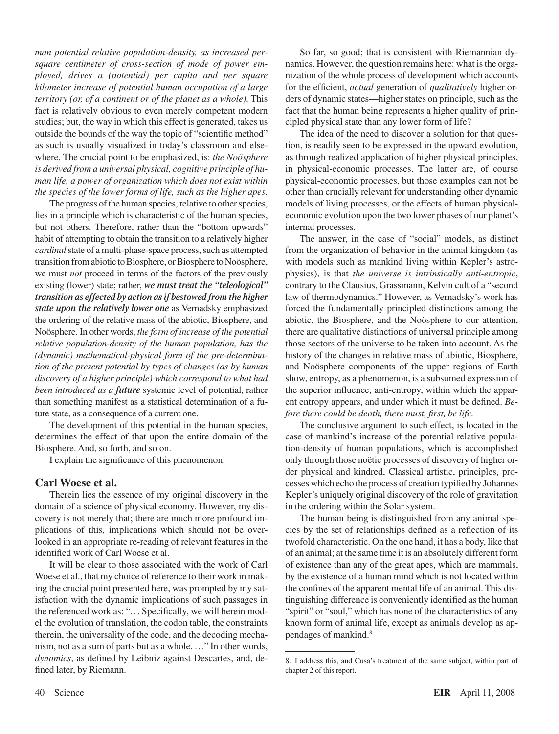*man potential relative population-density, as increased persquare centimeter of cross-section of mode of power employed, drives a (potential) per capita and per square kilometer increase of potential human occupation of a large territory (or, of a continent or of the planet as a whole)*. This fact is relatively obvious to even merely competent modern studies; but, the way in which this effect is generated, takes us outside the bounds of the way the topic of "scientific method" as such is usually visualized in today's classroom and elsewhere. The crucial point to be emphasized, is: *the Noösphere is derived from a universal physical, cognitive principle of human life, a power of organization which does not exist within the species of the lower forms of life, such as the higher apes.*

The progress of the human species, relative to other species, lies in a principle which is characteristic of the human species, but not others. Therefore, rather than the "bottom upwards" habit of attempting to obtain the transition to a relatively higher *cardinal* state of a multi-phase-space process, such as attempted transition from abiotic to Biosphere, or Biosphere to Noösphere, we must *not* proceed in terms of the factors of the previously existing (lower) state; rather, *we must treat the "teleological" transition as effected by action as if bestowed from the higher state upon the relatively lower one* as Vernadsky emphasized the ordering of the relative mass of the abiotic, Biosphere, and Noösphere. In other words, *the form of increase of the potential relative population-density of the human population, has the (dynamic) mathematical-physical form of the pre-determination of the present potential by types of changes (as by human discovery of a higher principle) which correspond to what had been introduced as a future* systemic level of potential, rather than something manifest as a statistical determination of a future state, as a consequence of a current one.

The development of this potential in the human species, determines the effect of that upon the entire domain of the Biosphere. And, so forth, and so on.

I explain the significance of this phenomenon.

#### **Carl Woese et al.**

Therein lies the essence of my original discovery in the domain of a science of physical economy. However, my discovery is not merely that; there are much more profound implications of this, implications which should not be overlooked in an appropriate re-reading of relevant features in the identified work of Carl Woese et al.

It will be clear to those associated with the work of Carl Woese et al., that my choice of reference to their work in making the crucial point presented here, was prompted by my satisfaction with the dynamic implications of such passages in the referenced work as: "... Specifically, we will herein model the evolution of translation, the codon table, the constraints therein, the universality of the code, and the decoding mechanism, not as a sum of parts but as a whole. ..." In other words, *dynamics*, as defined by Leibniz against Descartes, and, defined later, by Riemann.

So far, so good; that is consistent with Riemannian dynamics. However, the question remains here: what is the organization of the whole process of development which accounts for the efficient, *actual* generation of *qualitatively* higher orders of dynamic states—higher states on principle, such as the fact that the human being represents a higher quality of principled physical state than any lower form of life?

The idea of the need to discover a solution for that question, is readily seen to be expressed in the upward evolution, as through realized application of higher physical principles, in physical-economic processes. The latter are, of course physical-economic processes, but those examples can not be other than crucially relevant for understanding other dynamic models of living processes, or the effects of human physicaleconomic evolution upon the two lower phases of our planet's internal processes.

The answer, in the case of "social" models, as distinct from the organization of behavior in the animal kingdom (as with models such as mankind living within Kepler's astrophysics), is that *the universe is intrinsically anti-entropic*, contrary to the Clausius, Grassmann, Kelvin cult of a "second law of thermodynamics." However, as Vernadsky's work has forced the fundamentally principled distinctions among the abiotic, the Biosphere, and the Noösphere to our attention, there are qualitative distinctions of universal principle among those sectors of the universe to be taken into account. As the history of the changes in relative mass of abiotic, Biosphere, and Noösphere components of the upper regions of Earth show, entropy, as a phenomenon, is a subsumed expression of the superior influence, anti-entropy, within which the apparent entropy appears, and under which it must be defined. *Before there could be death, there must, first, be life.*

The conclusive argument to such effect, is located in the case of mankind's increase of the potential relative population-density of human populations, which is accomplished only through those noëtic processes of discovery of higher order physical and kindred, Classical artistic, principles, processes which echo the process of creation typified by Johannes Kepler's uniquely original discovery of the role of gravitation in the ordering within the Solar system.

The human being is distinguished from any animal species by the set of relationships defined as a reflection of its twofold characteristic. On the one hand, it has a body, like that of an animal; at the same time it is an absolutely different form of existence than any of the great apes, which are mammals, by the existence of a human mind which is not located within the confines of the apparent mental life of an animal. This distinguishing difference is conveniently identified asthe human "spirit" or "soul," which has none of the characteristics of any known form of animal life, except as animals develop as appendages of mankind.

<sup>.</sup> I address this, and Cusa's treatment of the same subject, within part of chapter 2 of this report.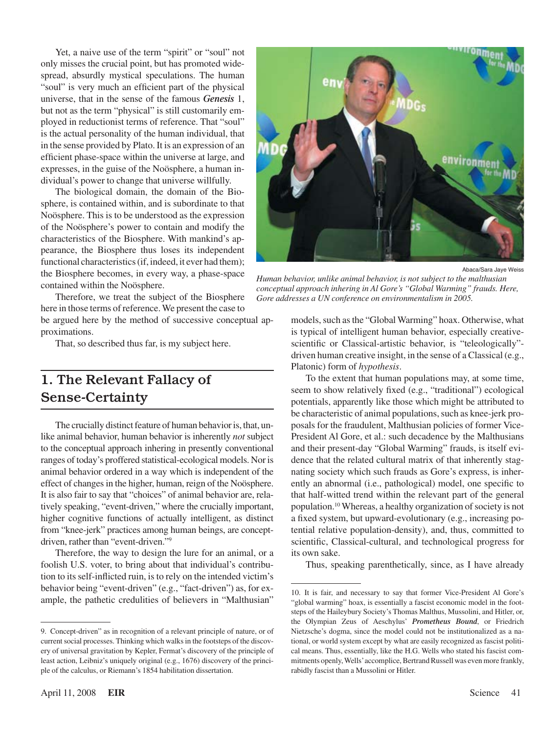Yet, a naive use of the term "spirit" or "soul" not only misses the crucial point, but has promoted widespread, absurdly mystical speculations. The human "soul" is very much an efficient part of the physical universe, that in the sense of the famous *Genesis* 1, but not as the term "physical" is still customarily employed in reductionist terms of reference. That "soul" is the actual personality of the human individual, that in the sense provided by Plato. It is an expression of an efficient phase-space within the universe at large, and expresses, in the guise of the Noösphere, a human individual's power to change that universe willfully.

The biological domain, the domain of the Biosphere, is contained within, and is subordinate to that Noösphere. This is to be understood as the expression of the Noösphere's power to contain and modify the characteristics of the Biosphere. With mankind's appearance, the Biosphere thus loses its independent functional characteristics (if, indeed, it ever had them); the Biosphere becomes, in every way, a phase-space contained within the Noösphere.

Therefore, we treat the subject of the Biosphere here in those terms of reference. We present the case to be argued here by the method of successive conceptual approximations.

That, so described thus far, is my subject here.

### 1. The Relevant Fallacy of Sense-Certainty

The crucially distinct feature of human behavior is, that, unlike animal behavior, human behavior is inherently *not* subject to the conceptual approach inhering in presently conventional ranges of today's proffered statistical-ecological models. Nor is animal behavior ordered in a way which is independent of the effect of changes in the higher, human, reign of the Noösphere. It is also fair to say that "choices" of animal behavior are, relatively speaking, "event-driven," where the crucially important, higher cognitive functions of actually intelligent, as distinct from "knee-jerk" practices among human beings, are conceptdriven, rather than "event-driven."

Therefore, the way to design the lure for an animal, or a foolish U.S. voter, to bring about that individual's contribution to its self-inflicted ruin, is to rely on the intended victim's behavior being "event-driven" (e.g., "fact-driven") as, for example, the pathetic credulities of believers in "Malthusian"



Abaca/Sara Jaye Weiss

*Human behavior, unlike animal behavior, is not subject to the malthusian conceptual approach inhering in Al Gore's "Global Warming" frauds. Here, Gore addresses a UN conference on environmentalism in 2005.*

models, such as the "Global Warming" hoax. Otherwise, what is typical of intelligent human behavior, especially creativescientific or Classical-artistic behavior, is "teleologically" driven human creative insight, in the sense of a Classical (e.g., Platonic) form of *hypothesis*.

To the extent that human populations may, at some time, seem to show relatively fixed (e.g., "traditional") ecological potentials, apparently like those which might be attributed to be characteristic of animal populations, such as knee-jerk proposals for the fraudulent, Malthusian policies of former Vice-President Al Gore, et al.: such decadence by the Malthusians and their present-day "Global Warming" frauds, is itself evidence that the related cultural matrix of that inherently stagnating society which such frauds as Gore's express, is inherently an abnormal (i.e., pathological) model, one specific to that half-witted trend within the relevant part of the general population.<sup>10</sup> Whereas, a healthy organization of society is not a fixed system, but upward-evolutionary (e.g., increasing potential relative population-density), and, thus, committed to scientific, Classical-cultural, and technological progress for its own sake.

Thus, speaking parenthetically, since, as I have already

<sup>.</sup> Concept-driven" as in recognition of a relevant principle of nature, or of current social processes. Thinking which walks in the footsteps of the discovery of universal gravitation by Kepler, Fermat's discovery of the principle of least action, Leibniz's uniquely original (e.g., 1676) discovery of the principle of the calculus, or Riemann's 1854 habilitation dissertation.

<sup>10.</sup> It is fair, and necessary to say that former Vice-President Al Gore's "global warming" hoax, is essentially a fascist economic model in the footsteps of the Haileybury Society's Thomas Malthus, Mussolini, and Hitler, or, the Olympian Zeus of Aeschylus' *Prometheus Bound*, or Friedrich Nietzsche's dogma, since the model could not be institutionalized as a national, or world system except by what are easily recognized as fascist political means. Thus, essentially, like the H.G. Wells who stated his fascist commitments openly, Wells' accomplice, Bertrand Russell was even more frankly, rabidly fascist than a Mussolini or Hitler.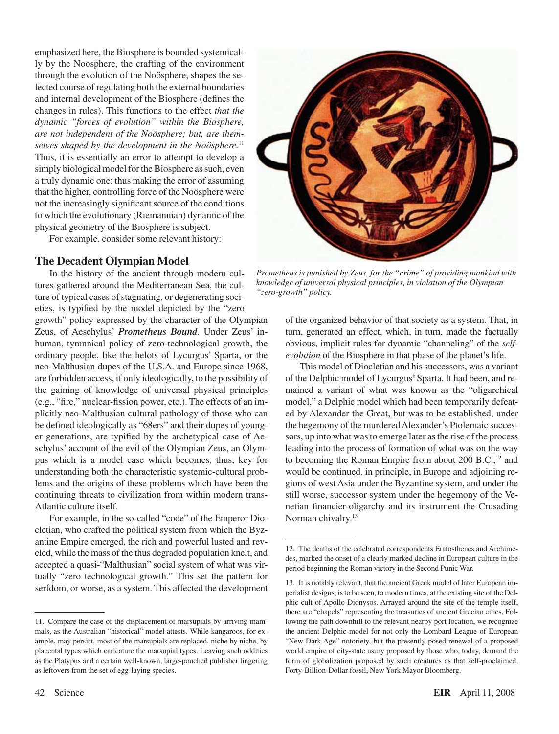emphasized here, the Biosphere is bounded systemically by the Noösphere, the crafting of the environment through the evolution of the Noösphere, shapes the selected course of regulating both the external boundaries and internal development of the Biosphere (defines the changes in rules). This functions to the effect *that the dynamic "forces of evolution" within the Biosphere, are not independent of the Noösphere; but, are themselves shaped by the development in the Noösphere.*<sup>11</sup> Thus, it is essentially an error to attempt to develop a simply biological model for the Biosphere as such, even a truly dynamic one: thus making the error of assuming that the higher, controlling force of the Noösphere were not the increasingly significant source of the conditions to which the evolutionary (Riemannian) dynamic of the physical geometry of the Biosphere is subject.

For example, consider some relevant history:

#### **The Decadent Olympian Model**

In the history of the ancient through modern cultures gathered around the Mediterranean Sea, the culture of typical cases of stagnating, or degenerating societies, is typified by the model depicted by the "zero

growth" policy expressed by the character of the Olympian Zeus, of Aeschylus' *Prometheus Bound*. Under Zeus' inhuman, tyrannical policy of zero-technological growth, the ordinary people, like the helots of Lycurgus' Sparta, or the neo-Malthusian dupes of the U.S.A. and Europe since 1968, are forbidden access, if only ideologically, to the possibility of the gaining of knowledge of universal physical principles (e.g., "fire," nuclear-fission power, etc.). The effects of an implicitly neo-Malthusian cultural pathology of those who can be defined ideologically as "68ers" and their dupes of younger generations, are typified by the archetypical case of Aeschylus' account of the evil of the Olympian Zeus, an Olympus which is a model case which becomes, thus, key for understanding both the characteristic systemic-cultural problems and the origins of these problems which have been the continuing threats to civilization from within modern trans-Atlantic culture itself.

For example, in the so-called "code" of the Emperor Diocletian, who crafted the political system from which the Byzantine Empire emerged, the rich and powerful lusted and reveled, while the mass of the thus degraded population knelt, and accepted a quasi-"Malthusian" social system of what was virtually "zero technological growth." This set the pattern for serfdom, or worse, as a system. This affected the development



*Prometheus is punished by Zeus, for the "crime" of providing mankind with knowledge of universal physical principles, in violation of the Olympian "zero-growth" policy.*

of the organized behavior of that society as a system. That, in turn, generated an effect, which, in turn, made the factually obvious, implicit rules for dynamic "channeling" of the *selfevolution* of the Biosphere in that phase of the planet's life.

This model of Diocletian and his successors, was a variant of the Delphic model of Lycurgus'Sparta. It had been, and remained a variant of what was known as the "oligarchical model," a Delphic model which had been temporarily defeated by Alexander the Great, but was to be established, under the hegemony of the murdered Alexander's Ptolemaic successors, up into what was to emerge later as the rise of the process leading into the process of formation of what was on the way to becoming the Roman Empire from about  $200$  B.C.,<sup>12</sup> and would be continued, in principle, in Europe and adjoining regions of west Asia under the Byzantine system, and under the still worse, successor system under the hegemony of the Venetian financier-oligarchy and its instrument the Crusading Norman chivalry.<sup>13</sup>

<sup>11.</sup> Compare the case of the displacement of marsupials by arriving mammals, as the Australian "historical" model attests. While kangaroos, for example, may persist, most of the marsupials are replaced, niche by niche, by placental types which caricature the marsupial types. Leaving such oddities as the Platypus and a certain well-known, large-pouched publisher lingering as leftovers from the set of egg-laying species.

<sup>12.</sup> The deaths of the celebrated correspondents Eratosthenes and Archimedes, marked the onset of a clearly marked decline in European culture in the period beginning the Roman victory in the Second Punic War.

<sup>13.</sup> It is notably relevant, that the ancient Greek model of later European imperialist designs, isto be seen, to modern times, at the existing site of the Delphic cult of Apollo-Dionysos. Arrayed around the site of the temple itself, there are "chapels" representing the treasuries of ancient Grecian cities. Following the path downhill to the relevant nearby port location, we recognize the ancient Delphic model for not only the Lombard League of European "New Dark Age" notoriety, but the presently posed renewal of a proposed world empire of city-state usury proposed by those who, today, demand the form of globalization proposed by such creatures as that self-proclaimed, Forty-Billion-Dollar fossil, New York Mayor Bloomberg.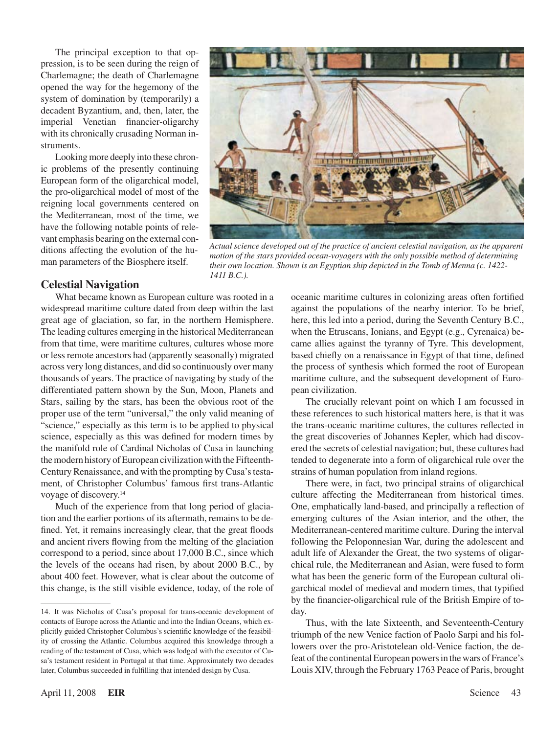The principal exception to that oppression, is to be seen during the reign of Charlemagne; the death of Charlemagne opened the way for the hegemony of the system of domination by (temporarily) a decadent Byzantium, and, then, later, the imperial Venetian financier-oligarchy with its chronically crusading Norman instruments.

Looking more deeply into these chronic problems of the presently continuing European form of the oligarchical model, the pro-oligarchical model of most of the reigning local governments centered on the Mediterranean, most of the time, we have the following notable points of relevant emphasis bearing on the external conditions affecting the evolution of the human parameters of the Biosphere itself.



*Actual science developed out of the practice of ancient celestial navigation, as the apparent motion of the stars provided ocean-voyagers with the only possible method of determining their own location. Shown is an Egyptian ship depicted in the Tomb of Menna (c. 1422- 1411 B.C.).*

#### **Celestial Navigation**

What became known as European culture was rooted in a widespread maritime culture dated from deep within the last great age of glaciation, so far, in the northern Hemisphere. The leading cultures emerging in the historical Mediterranean from that time, were maritime cultures, cultures whose more or less remote ancestors had (apparently seasonally) migrated across very long distances, and did so continuously over many thousands of years. The practice of navigating by study of the differentiated pattern shown by the Sun, Moon, Planets and Stars, sailing by the stars, has been the obvious root of the proper use of the term "universal," the only valid meaning of "science," especially as this term is to be applied to physical science, especially as this was defined for modern times by the manifold role of Cardinal Nicholas of Cusa in launching the modern history of European civilization with the Fifteenth-Century Renaissance, and with the prompting by Cusa's testament, of Christopher Columbus' famous first trans-Atlantic voyage of discovery.14

Much of the experience from that long period of glaciation and the earlier portions of its aftermath, remainsto be defined. Yet, it remains increasingly clear, that the great floods and ancient rivers flowing from the melting of the glaciation correspond to a period, since about 17,000 B.C., since which the levels of the oceans had risen, by about 2000 B.C., by about 400 feet. However, what is clear about the outcome of this change, is the still visible evidence, today, of the role of oceanic maritime cultures in colonizing areas often fortified against the populations of the nearby interior. To be brief, here, this led into a period, during the Seventh Century B.C., when the Etruscans, Ionians, and Egypt (e.g., Cyrenaica) became allies against the tyranny of Tyre. This development, based chiefly on a renaissance in Egypt of that time, defined the process of synthesis which formed the root of European maritime culture, and the subsequent development of European civilization.

The crucially relevant point on which I am focussed in these references to such historical matters here, is that it was the trans-oceanic maritime cultures, the cultures reflected in the great discoveries of Johannes Kepler, which had discovered the secrets of celestial navigation; but, these cultures had tended to degenerate into a form of oligarchical rule over the strains of human population from inland regions.

There were, in fact, two principal strains of oligarchical culture affecting the Mediterranean from historical times. One, emphatically land-based, and principally a reflection of emerging cultures of the Asian interior, and the other, the Mediterranean-centered maritime culture. During the interval following the Peloponnesian War, during the adolescent and adult life of Alexander the Great, the two systems of oligarchical rule, the Mediterranean and Asian, were fused to form what has been the generic form of the European cultural oligarchical model of medieval and modern times, that typified by the financier-oligarchical rule of the British Empire of today.

Thus, with the late Sixteenth, and Seventeenth-Century triumph of the new Venice faction of Paolo Sarpi and his followers over the pro-Aristotelean old-Venice faction, the defeat of the continental European powers in the wars of France's Louis XIV, through the February 1763 Peace of Paris, brought

<sup>14.</sup> It was Nicholas of Cusa's proposal for trans-oceanic development of contacts of Europe across the Atlantic and into the Indian Oceans, which explicitly guided Christopher Columbus's scientific knowledge of the feasibility of crossing the Atlantic. Columbus acquired this knowledge through a reading of the testament of Cusa, which was lodged with the executor of Cusa's testament resident in Portugal at that time. Approximately two decades later, Columbus succeeded in fulfilling that intended design by Cusa.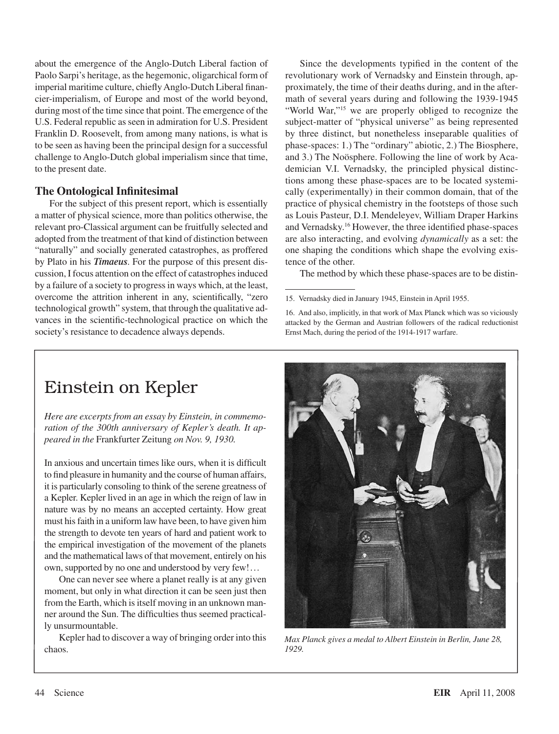about the emergence of the Anglo-Dutch Liberal faction of Paolo Sarpi's heritage, as the hegemonic, oligarchical form of imperial maritime culture, chiefly Anglo-Dutch Liberal financier-imperialism, of Europe and most of the world beyond, during most of the time since that point. The emergence of the U.S. Federal republic as seen in admiration for U.S. President Franklin D. Roosevelt, from among many nations, is what is to be seen as having been the principal design for a successful challenge to Anglo-Dutch global imperialism since that time, to the present date.

#### **The Ontological Infinitesimal**

For the subject of this present report, which is essentially a matter of physical science, more than politics otherwise, the relevant pro-Classical argument can be fruitfully selected and adopted from the treatment of that kind of distinction between "naturally" and socially generated catastrophes, as proffered by Plato in his *Timaeus*. For the purpose of this present discussion, I focus attention on the effect of catastrophesinduced by a failure of a society to progressin ways which, at the least, overcome the attrition inherent in any, scientifically, "zero technological growth" system, that through the qualitative advances in the scientific-technological practice on which the society's resistance to decadence always depends.

Since the developments typified in the content of the revolutionary work of Vernadsky and Einstein through, approximately, the time of their deaths during, and in the aftermath of several years during and following the 1939-1945 "World War,"<sup>15</sup> we are properly obliged to recognize the subject-matter of "physical universe" as being represented by three distinct, but nonetheless inseparable qualities of phase-spaces: 1.) The "ordinary" abiotic, 2.) The Biosphere, and 3.) The Noösphere. Following the line of work by Academician V.I. Vernadsky, the principled physical distinctions among these phase-spaces are to be located systemically (experimentally) in their common domain, that of the practice of physical chemistry in the footsteps of those such as Louis Pasteur, D.I. Mendeleyev, William Draper Harkins and Vernadsky.16 However, the three identified phase-spaces are also interacting, and evolving *dynamically* as a set: the one shaping the conditions which shape the evolving existence of the other.

The method by which these phase-spaces are to be distin-

15. Vernadsky died in January 1945, Einstein in April 1955.

16. And also, implicitly, in that work of Max Planck which was so viciously attacked by the German and Austrian followers of the radical reductionist Ernst Mach, during the period of the 1914-1917 warfare.

### Einstein on Kepler

*Here are excerpts from an essay by Einstein, in commemoration of the 300th anniversary of Kepler's death. It appeared in the* Frankfurter Zeitung *on Nov. 9, 1930.*

In anxious and uncertain times like ours, when it is difficult to find pleasure in humanity and the course of human affairs, it is particularly consoling to think of the serene greatness of a Kepler. Kepler lived in an age in which the reign of law in nature was by no means an accepted certainty. How great must hisfaith in a uniform law have been, to have given him the strength to devote ten years of hard and patient work to the empirical investigation of the movement of the planets and the mathematical laws of that movement, entirely on his own, supported by no one and understood by very few!...

One can never see where a planet really is at any given moment, but only in what direction it can be seen just then from the Earth, which is itself moving in an unknown manner around the Sun. The difficulties thus seemed practically unsurmountable.

Kepler had to discover a way of bringing order into this chaos.



*Max Planck gives a medal to Albert Einstein in Berlin, June 28, 1929.*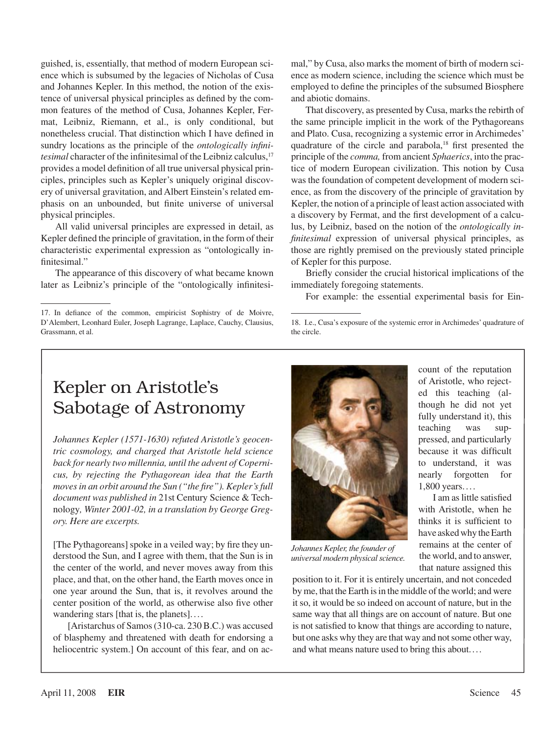guished, is, essentially, that method of modern European science which is subsumed by the legacies of Nicholas of Cusa and Johannes Kepler. In this method, the notion of the existence of universal physical principles as defined by the common features of the method of Cusa, Johannes Kepler, Fermat, Leibniz, Riemann, et al., is only conditional, but nonetheless crucial. That distinction which I have defined in sundry locations as the principle of the *ontologically infinitesimal* character of the infinitesimal of the Leibniz calculus,<sup>17</sup> provides a model definition of all true universal physical principles, principles such as Kepler's uniquely original discovery of universal gravitation, and Albert Einstein's related emphasis on an unbounded, but finite universe of universal physical principles.

All valid universal principles are expressed in detail, as Kepler defined the principle of gravitation, in the form of their characteristic experimental expression as "ontologically infinitesimal."

The appearance of this discovery of what became known later as Leibniz's principle of the "ontologically infinitesimal," by Cusa, also marks the moment of birth of modern science as modern science, including the science which must be employed to define the principles of the subsumed Biosphere and abiotic domains.

That discovery, as presented by Cusa, marks the rebirth of the same principle implicit in the work of the Pythagoreans and Plato. Cusa, recognizing a systemic error in Archimedes' quadrature of the circle and parabola,18 first presented the principle of the *comma,* from ancient *Sphaerics*, into the practice of modern European civilization. This notion by Cusa was the foundation of competent development of modern science, as from the discovery of the principle of gravitation by Kepler, the notion of a principle of least action associated with a discovery by Fermat, and the first development of a calculus, by Leibniz, based on the notion of the *ontologically infinitesimal* expression of universal physical principles, as those are rightly premised on the previously stated principle of Kepler for this purpose.

Briefly consider the crucial historical implications of the immediately foregoing statements.

For example: the essential experimental basis for Ein-

### Kepler on Aristotle's Sabotage of Astronomy

*Johannes Kepler (1571-1630) refuted Aristotle's geocentric cosmology, and charged that Aristotle held science back for nearly two millennia, until the advent of Copernicus, by rejecting the Pythagorean idea that the Earth moves in an orbit around the Sun ("the fire"). Kepler's full document was published in* 21st Century Science & Technology*, Winter 2001-02, in a translation by George Gregory. Here are excerpts.*

[The Pythagoreans] spoke in a veiled way; by fire they understood the Sun, and I agree with them, that the Sun is in the center of the world, and never moves away from this place, and that, on the other hand, the Earth moves once in one year around the Sun, that is, it revolves around the center position of the world, as otherwise also five other wandering stars [that is, the planets]....

[Aristarchus of Samos(310-ca. 230 B.C.) was accused of blasphemy and threatened with death for endorsing a heliocentric system.] On account of this fear, and on ac-



*Johannes Kepler, the founder of universal modern physical science.*

position to it. For it is entirely uncertain, and not conceded by me, that the Earth is in the middle of the world; and were it so, it would be so indeed on account of nature, but in the same way that all things are on account of nature. But one is not satisfied to know that things are according to nature, but one asks why they are that way and notsome other way, and what means nature used to bring this about....

count of the reputation of Aristotle, who rejected this teaching (although he did not yet fully understand it), this teaching was suppressed, and particularly because it was difficult to understand, it was nearly forgotten for 1,800 years....

I am aslittle satisfied with Aristotle, when he thinks it is sufficient to have asked why the Earth remains at the center of the world, and to answer, that nature assigned this

<sup>17.</sup> In defiance of the common, empiricist Sophistry of de Moivre, D'Alembert, Leonhard Euler, Joseph Lagrange, Laplace, Cauchy, Clausius, Grassmann, et al.

<sup>18.</sup> I.e., Cusa's exposure of the systemic error in Archimedes' quadrature of the circle.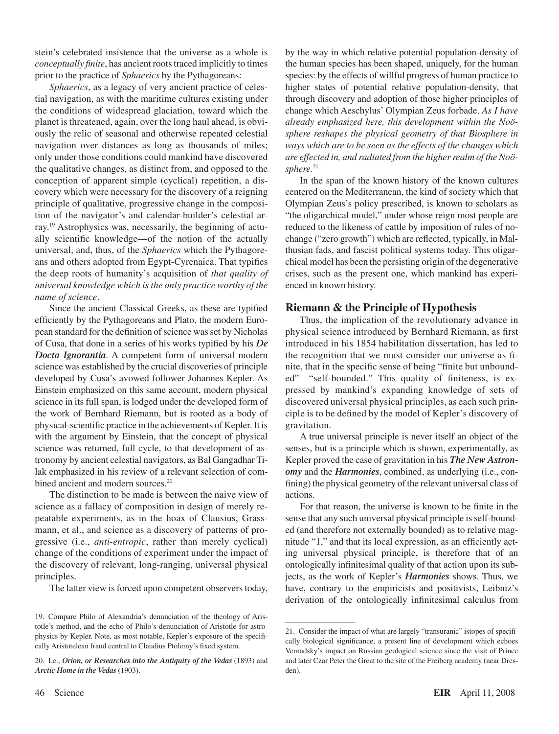stein's celebrated insistence that the universe as a whole is *conceptually finite*, has ancient roots traced implicitly to times prior to the practice of *Sphaerics* by the Pythagoreans:

*Sphaerics*, as a legacy of very ancient practice of celestial navigation, as with the maritime cultures existing under the conditions of widespread glaciation, toward which the planet is threatened, again, over the long haul ahead, is obviously the relic of seasonal and otherwise repeated celestial navigation over distances as long as thousands of miles; only under those conditions could mankind have discovered the qualitative changes, as distinct from, and opposed to the conception of apparent simple (cyclical) repetition, a discovery which were necessary for the discovery of a reigning principle of qualitative, progressive change in the composition of the navigator's and calendar-builder's celestial array.19 Astrophysics was, necessarily, the beginning of actually scientific knowledge—of the notion of the actually universal, and, thus, of the *Sphaerics* which the Pythagoreans and others adopted from Egypt-Cyrenaica. That typifies the deep roots of humanity's acquisition of *that quality of universal knowledge which is the only practice worthy of the name of science*.

Since the ancient Classical Greeks, as these are typified efficiently by the Pythagoreans and Plato, the modern European standard for the definition of science was set by Nicholas of Cusa, that done in a series of his works typified by his *De Docta Ignorantia*. A competent form of universal modern science was established by the crucial discoveries of principle developed by Cusa's avowed follower Johannes Kepler. As Einstein emphasized on this same account, modern physical science in its full span, is lodged under the developed form of the work of Bernhard Riemann, but is rooted as a body of physical-scientific practice in the achievements of Kepler.It is with the argument by Einstein, that the concept of physical science was returned, full cycle, to that development of astronomy by ancient celestial navigators, as Bal Gangadhar Tilak emphasized in his review of a relevant selection of combined ancient and modern sources.<sup>20</sup>

The distinction to be made is between the naive view of science as a fallacy of composition in design of merely repeatable experiments, as in the hoax of Clausius, Grassmann, et al., and science as a discovery of patterns of progressive (i.e., *anti-entropic*, rather than merely cyclical) change of the conditions of experiment under the impact of the discovery of relevant, long-ranging, universal physical principles.

The latter view is forced upon competent observers today,

by the way in which relative potential population-density of the human species has been shaped, uniquely, for the human species: by the effects of willful progress of human practice to higher states of potential relative population-density, that through discovery and adoption of those higher principles of change which Aeschylus' Olympian Zeus forbade. *As I have already emphasized here, this development within the Noösphere reshapes the physical geometry of that Biosphere in ways which are to be seen as the effects of the changes which are effected in, and radiated from the higher realm of the Noösphere.*<sup>21</sup>

In the span of the known history of the known cultures centered on the Mediterranean, the kind of society which that Olympian Zeus's policy prescribed, is known to scholars as "the oligarchical model," under whose reign most people are reduced to the likeness of cattle by imposition of rules of nochange ("zero growth") which are reflected, typically, in Malthusian fads, and fascist political systems today. This oligarchical model has been the persisting origin of the degenerative crises, such as the present one, which mankind has experienced in known history.

#### **Riemann & the Principle of Hypothesis**

Thus, the implication of the revolutionary advance in physical science introduced by Bernhard Riemann, as first introduced in his 1854 habilitation dissertation, has led to the recognition that we must consider our universe as finite, that in the specific sense of being "finite but unbounded"—"self-bounded." This quality of finiteness, is expressed by mankind's expanding knowledge of sets of discovered universal physical principles, as each such principle is to be defined by the model of Kepler's discovery of gravitation.

A true universal principle is never itself an object of the senses, but is a principle which is shown, experimentally, as Kepler proved the case of gravitation in his *The New Astronomy* and the *Harmonies*, combined, as underlying (i.e., confining) the physical geometry of the relevant universal class of actions.

For that reason, the universe is known to be finite in the sense that any such universal physical principle is self-bounded (and therefore not externally bounded) as to relative magnitude "1," and that its local expression, as an efficiently acting universal physical principle, is therefore that of an ontologically infinitesimal quality of that action upon its subjects, as the work of Kepler's *Harmonies* shows. Thus, we have, contrary to the empiricists and positivists, Leibniz's derivation of the ontologically infinitesimal calculus from

<sup>19.</sup> Compare Philo of Alexandria's denunciation of the theology of Aristotle's method, and the echo of Philo's denunciation of Aristotle for astrophysics by Kepler. Note, as most notable, Kepler's exposure of the specifically Aristotelean fraud central to Claudius Ptolemy's fixed system.

<sup>20.</sup> I.e., *Orion, or Researches into the Antiquity of the Vedas* (1893) and *Arctic Home in the Vedas* (1903).

<sup>21.</sup> Consider the impact of what are largely "transuranic" istopes of specifically biological significance, a present line of development which echoes Vernadsky's impact on Russian geological science since the visit of Prince and later Czar Peter the Great to the site of the Freiberg academy (near Dresden).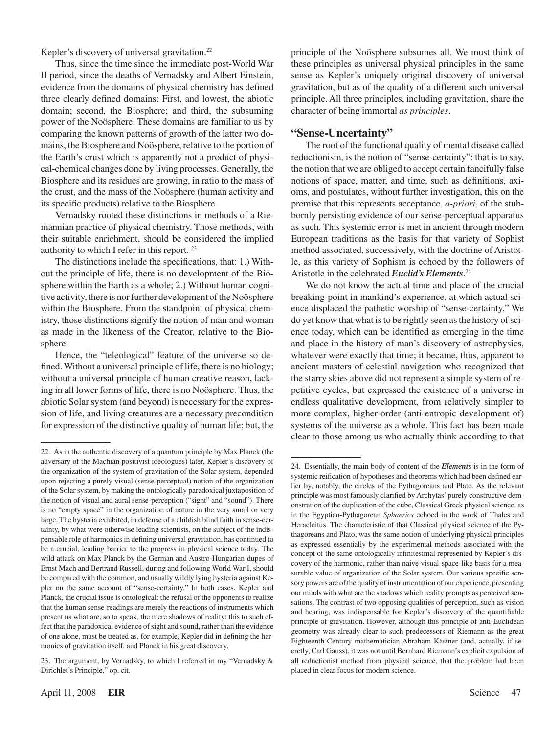Kepler's discovery of universal gravitation.<sup>22</sup>

Thus, since the time since the immediate post-World War II period, since the deaths of Vernadsky and Albert Einstein, evidence from the domains of physical chemistry has defined three clearly defined domains: First, and lowest, the abiotic domain; second, the Biosphere; and third, the subsuming power of the Noösphere. These domains are familiar to us by comparing the known patterns of growth of the latter two domains, the Biosphere and Noösphere, relative to the portion of the Earth's crust which is apparently not a product of physical-chemical changes done by living processes. Generally, the Biosphere and its residues are growing, in ratio to the mass of the crust, and the mass of the Noösphere (human activity and its specific products) relative to the Biosphere.

Vernadsky rooted these distinctions in methods of a Riemannian practice of physical chemistry. Those methods, with their suitable enrichment, should be considered the implied authority to which I refer in this report. <sup>23</sup>

The distinctions include the specifications, that: 1.) Without the principle of life, there is no development of the Biosphere within the Earth as a whole; 2.) Without human cognitive activity, there is nor further development of the Noösphere within the Biosphere. From the standpoint of physical chemistry, those distinctions signify the notion of man and woman as made in the likeness of the Creator, relative to the Biosphere.

Hence, the "teleological" feature of the universe so defined.Without a universal principle of life, there is no biology; without a universal principle of human creative reason, lacking in all lower forms of life, there is no Noösphere. Thus, the abiotic Solar system (and beyond) is necessary for the expression of life, and living creatures are a necessary precondition for expression of the distinctive quality of human life; but, the principle of the Noösphere subsumes all. We must think of these principles as universal physical principles in the same sense as Kepler's uniquely original discovery of universal gravitation, but as of the quality of a different such universal principle. All three principles, including gravitation, share the character of being immortal *as principles*.

#### **"Sense-Uncertainty"**

The root of the functional quality of mental disease called reductionism, is the notion of "sense-certainty": that is to say, the notion that we are obliged to accept certain fancifully false notions of space, matter, and time, such as definitions, axioms, and postulates, without further investigation, this on the premise that this represents acceptance, *a-priori*, of the stubbornly persisting evidence of our sense-perceptual apparatus as such. This systemic error is met in ancient through modern European traditions as the basis for that variety of Sophist method associated, successively, with the doctrine of Aristotle, as this variety of Sophism is echoed by the followers of Aristotle in the celebrated *Euclid's Elements*. 24

We do not know the actual time and place of the crucial breaking-point in mankind's experience, at which actual science displaced the pathetic worship of "sense-certainty." We do yet know that what is to be rightly seen as the history of science today, which can be identified as emerging in the time and place in the history of man's discovery of astrophysics, whatever were exactly that time; it became, thus, apparent to ancient masters of celestial navigation who recognized that the starry skies above did not represent a simple system of repetitive cycles, but expressed the existence of a universe in endless qualitative development, from relatively simpler to more complex, higher-order (anti-entropic development of) systems of the universe as a whole. This fact has been made clear to those among us who actually think according to that

<sup>22.</sup> As in the authentic discovery of a quantum principle by Max Planck (the adversary of the Machian positivist ideologues) later, Kepler's discovery of the organization of the system of gravitation of the Solar system, depended upon rejecting a purely visual (sense-perceptual) notion of the organization of the Solarsystem, by making the ontologically paradoxical juxtaposition of the notion of visual and aural sense-perception ("sight" and "sound"). There is no "empty space" in the organization of nature in the very small or very large. The hysteria exhibited, in defense of a childish blind faith in sense-certainty, by what were otherwise leading scientists, on the subject of the indispensable role of harmonics in defining universal gravitation, has continued to be a crucial, leading barrier to the progress in physical science today. The wild attack on Max Planck by the German and Austro-Hungarian dupes of Ernst Mach and Bertrand Russell, during and following World War I, should be compared with the common, and usually wildly lying hysteria against Kepler on the same account of "sense-certainty." In both cases, Kepler and Planck, the crucial issue is ontological: the refusal of the opponents to realize that the human sense-readings are merely the reactions of instruments which present us what are, so to speak, the mere shadows of reality: this to such effect that the paradoxical evidence of sight and sound, rather than the evidence of one alone, must be treated as, for example, Kepler did in defining the harmonics of gravitation itself, and Planck in his great discovery.

<sup>23.</sup> The argument, by Vernadsky, to which I referred in my "Vernadsky & Dirichlet's Principle," op. cit.

<sup>24.</sup> Essentially, the main body of content of the *Elements* is in the form of systemic reification of hypotheses and theorems which had been defined earlier by, notably, the circles of the Pythagoreans and Plato. As the relevant principle was most famously clarified by Archytas' purely constructive demonstration of the duplication of the cube, Classical Greek physical science, as in the Egyptian-Pythagorean *Sphaerics* echoed in the work of Thales and Heracleitus. The characteristic of that Classical physical science of the Pythagoreans and Plato, was the same notion of underlying physical principles as expressed essentially by the experimental methods associated with the concept of the same ontologically infinitesimal represented by Kepler's discovery of the harmonic, rather than naive visual-space-like basis for a measurable value of organization of the Solar system. Our various specific sensory powers are of the quality of instrumentation of our experience, presenting our minds with what are the shadows which reality prompts as perceived sensations. The contrast of two opposing qualities of perception, such as vision and hearing, was indispensable for Kepler's discovery of the quantifiable principle of gravitation. However, although this principle of anti-Euclidean geometry was already clear to such predecessors of Riemann as the great Eighteenth-Century mathematician Abraham Kästner (and, actually, if secretly, Carl Gauss), it was not until Bernhard Riemann's explicit expulsion of all reductionist method from physical science, that the problem had been placed in clear focus for modern science.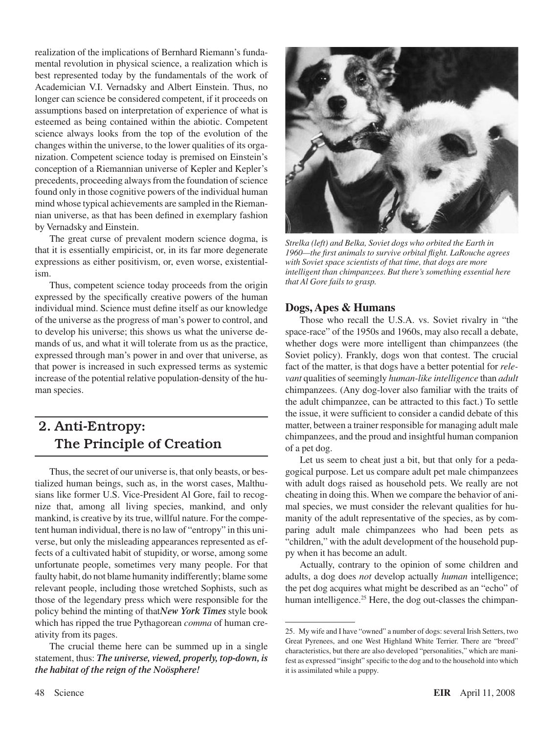realization of the implications of Bernhard Riemann's fundamental revolution in physical science, a realization which is best represented today by the fundamentals of the work of Academician V.I. Vernadsky and Albert Einstein. Thus, no longer can science be considered competent, if it proceeds on assumptions based on interpretation of experience of what is esteemed as being contained within the abiotic. Competent science always looks from the top of the evolution of the changes within the universe, to the lower qualities of its organization. Competent science today is premised on Einstein's conception of a Riemannian universe of Kepler and Kepler's precedents, proceeding always from the foundation of science found only in those cognitive powers of the individual human mind whose typical achievements are sampled in the Riemannian universe, as that has been defined in exemplary fashion by Vernadsky and Einstein.

The great curse of prevalent modern science dogma, is that it is essentially empiricist, or, in its far more degenerate expressions as either positivism, or, even worse, existentialism.

Thus, competent science today proceeds from the origin expressed by the specifically creative powers of the human individual mind. Science must define itself as our knowledge of the universe as the progress of man's power to control, and to develop his universe; this shows us what the universe demands of us, and what it will tolerate from us as the practice, expressed through man's power in and over that universe, as that power is increased in such expressed terms as systemic increase of the potential relative population-density of the human species.

### 2. Anti-Entropy: The Principle of Creation

Thus, the secret of our universe is, that only beasts, or bestialized human beings, such as, in the worst cases, Malthusians like former U.S. Vice-President Al Gore, fail to recognize that, among all living species, mankind, and only mankind, is creative by its true, willful nature. For the competent human individual, there is no law of "entropy" in this universe, but only the misleading appearances represented as effects of a cultivated habit of stupidity, or worse, among some unfortunate people, sometimes very many people. For that faulty habit, do not blame humanity indifferently; blame some relevant people, including those wretched Sophists, such as those of the legendary press which were responsible for the policy behind the minting of that*New York Times* style book which has ripped the true Pythagorean *comma* of human creativity from its pages.

The crucial theme here can be summed up in a single statement, thus: *The universe, viewed, properly, top-down, is the habitat of the reign of the Noösphere!*



*Strelka (left) and Belka, Soviet dogs who orbited the Earth in 1960—the first animals to survive orbital flight. LaRouche agrees with Soviet space scientists of that time, that dogs are more intelligent than chimpanzees. But there's something essential here that Al Gore fails to grasp.*

#### **Dogs, Apes & Humans**

Those who recall the U.S.A. vs. Soviet rivalry in "the space-race" of the 1950s and 1960s, may also recall a debate, whether dogs were more intelligent than chimpanzees (the Soviet policy). Frankly, dogs won that contest. The crucial fact of the matter, is that dogs have a better potential for *relevant* qualities of seemingly *human-like intelligence* than *adult* chimpanzees. (Any dog-lover also familiar with the traits of the adult chimpanzee, can be attracted to this fact.) To settle the issue, it were sufficient to consider a candid debate of this matter, between a trainer responsible for managing adult male chimpanzees, and the proud and insightful human companion of a pet dog.

Let us seem to cheat just a bit, but that only for a pedagogical purpose. Let us compare adult pet male chimpanzees with adult dogs raised as household pets. We really are not cheating in doing this. When we compare the behavior of animal species, we must consider the relevant qualities for humanity of the adult representative of the species, as by comparing adult male chimpanzees who had been pets as "children," with the adult development of the household puppy when it has become an adult.

Actually, contrary to the opinion of some children and adults, a dog does *not* develop actually *human* intelligence; the pet dog acquires what might be described as an "echo" of human intelligence.<sup>25</sup> Here, the dog out-classes the chimpan-

<sup>25.</sup> My wife and I have "owned" a number of dogs: several Irish Setters, two Great Pyrenees, and one West Highland White Terrier. There are "breed" characteristics, but there are also developed "personalities," which are manifest as expressed "insight" specific to the dog and to the household into which it is assimilated while a puppy.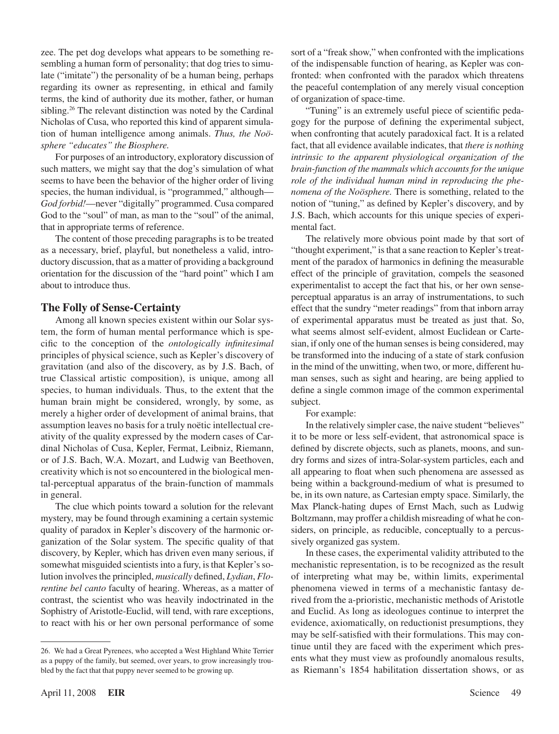zee. The pet dog develops what appears to be something resembling a human form of personality; that dog tries to simulate ("imitate") the personality of be a human being, perhaps regarding its owner as representing, in ethical and family terms, the kind of authority due its mother, father, or human sibling.<sup>26</sup> The relevant distinction was noted by the Cardinal Nicholas of Cusa, who reported this kind of apparent simulation of human intelligence among animals. *Thus, the Noösphere "educates" the Biosphere.*

For purposes of an introductory, exploratory discussion of such matters, we might say that the dog's simulation of what seems to have been the behavior of the higher order of living species, the human individual, is "programmed," although— *God forbid!*—never "digitally" programmed. Cusa compared God to the "soul" of man, as man to the "soul" of the animal, that in appropriate terms of reference.

The content of those preceding paragraphs is to be treated as a necessary, brief, playful, but nonetheless a valid, introductory discussion, that as a matter of providing a background orientation for the discussion of the "hard point" which I am about to introduce thus.

#### **The Folly of Sense-Certainty**

Among all known species existent within our Solar system, the form of human mental performance which is specific to the conception of the *ontologically infinitesimal* principles of physical science, such as Kepler's discovery of gravitation (and also of the discovery, as by J.S. Bach, of true Classical artistic composition), is unique, among all species, to human individuals. Thus, to the extent that the human brain might be considered, wrongly, by some, as merely a higher order of development of animal brains, that assumption leaves no basis for a truly noëtic intellectual creativity of the quality expressed by the modern cases of Cardinal Nicholas of Cusa, Kepler, Fermat, Leibniz, Riemann, or of J.S. Bach, W.A. Mozart, and Ludwig van Beethoven, creativity which is not so encountered in the biological mental-perceptual apparatus of the brain-function of mammals in general.

The clue which points toward a solution for the relevant mystery, may be found through examining a certain systemic quality of paradox in Kepler's discovery of the harmonic organization of the Solar system. The specific quality of that discovery, by Kepler, which has driven even many serious, if somewhat misguided scientists into a fury, is that Kepler's solution involves the principled, *musically* defined, *Lydian*, *Florentine bel canto* faculty of hearing. Whereas, as a matter of contrast, the scientist who was heavily indoctrinated in the Sophistry of Aristotle-Euclid, will tend, with rare exceptions, to react with his or her own personal performance of some

sort of a "freak show," when confronted with the implications of the indispensable function of hearing, as Kepler was confronted: when confronted with the paradox which threatens the peaceful contemplation of any merely visual conception of organization of space-time.

"Tuning" is an extremely useful piece of scientific pedagogy for the purpose of defining the experimental subject, when confronting that acutely paradoxical fact. It is a related fact, that all evidence available indicates, that *there is nothing intrinsic to the apparent physiological organization of the brain-function of the mammals which accounts for the unique role of the individual human mind in reproducing the phenomena of the Noösphere.* There is something, related to the notion of "tuning," as defined by Kepler's discovery, and by J.S. Bach, which accounts for this unique species of experimental fact.

The relatively more obvious point made by that sort of "thought experiment," is that a sane reaction to Kepler's treatment of the paradox of harmonics in defining the measurable effect of the principle of gravitation, compels the seasoned experimentalist to accept the fact that his, or her own senseperceptual apparatus is an array of instrumentations, to such effect that the sundry "meter readings" from that inborn array of experimental apparatus must be treated as just that. So, what seems almost self-evident, almost Euclidean or Cartesian, if only one of the human senses is being considered, may be transformed into the inducing of a state of stark confusion in the mind of the unwitting, when two, or more, different human senses, such as sight and hearing, are being applied to define a single common image of the common experimental subject.

#### For example:

In the relatively simpler case, the naive student "believes" it to be more or less self-evident, that astronomical space is defined by discrete objects, such as planets, moons, and sundry forms and sizes of intra-Solar-system particles, each and all appearing to float when such phenomena are assessed as being within a background-medium of what is presumed to be, in its own nature, as Cartesian empty space. Similarly, the Max Planck-hating dupes of Ernst Mach, such as Ludwig Boltzmann, may proffer a childish misreading of what he considers, on principle, as reducible, conceptually to a percussively organized gas system.

In these cases, the experimental validity attributed to the mechanistic representation, is to be recognized as the result of interpreting what may be, within limits, experimental phenomena viewed in terms of a mechanistic fantasy derived from the a-prioristic, mechanistic methods of Aristotle and Euclid. As long as ideologues continue to interpret the evidence, axiomatically, on reductionist presumptions, they may be self-satisfied with their formulations. This may continue until they are faced with the experiment which presents what they must view as profoundly anomalous results, as Riemann's 1854 habilitation dissertation shows, or as

<sup>26.</sup> We had a Great Pyrenees, who accepted a West Highland White Terrier as a puppy of the family, but seemed, over years, to grow increasingly troubled by the fact that that puppy never seemed to be growing up.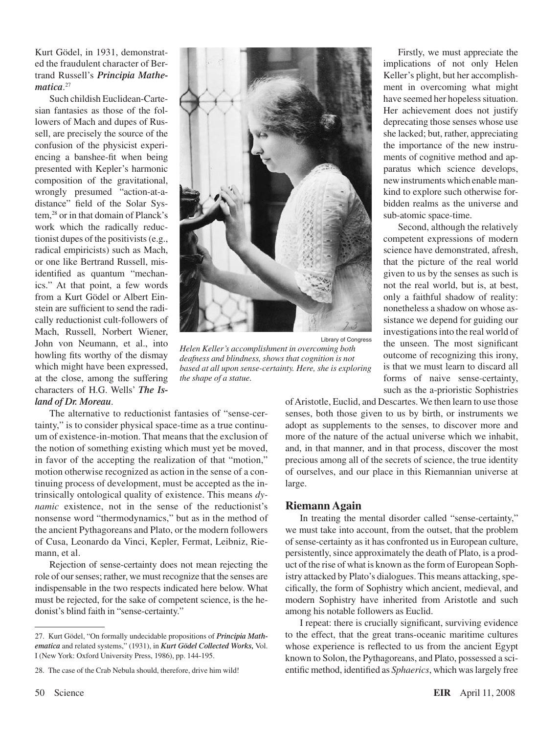Kurt Gödel, in 1931, demonstrated the fraudulent character of Bertrand Russell's *Principia Mathematica*. 27

Such childish Euclidean-Cartesian fantasies as those of the followers of Mach and dupes of Russell, are precisely the source of the confusion of the physicist experiencing a banshee-fit when being presented with Kepler's harmonic composition of the gravitational, wrongly presumed "action-at-adistance" field of the Solar System,28 or in that domain of Planck's work which the radically reductionist dupes of the positivists(e.g., radical empiricists) such as Mach, or one like Bertrand Russell, misidentified as quantum "mechanics." At that point, a few words from a Kurt Gödel or Albert Einstein are sufficient to send the radically reductionist cult-followers of Mach, Russell, Norbert Wiener, John von Neumann, et al., into howling fits worthy of the dismay which might have been expressed, at the close, among the suffering characters of H.G. Wells' *The Island of Dr. Moreau*.



Library of Congress *Helen Keller's accomplishment in overcoming both deafness and blindness, shows that cognition is not based at all upon sense-certainty. Here, she is exploring the shape of a statue.*

The alternative to reductionist fantasies of "sense-certainty," is to consider physical space-time as a true continuum of existence-in-motion. That means that the exclusion of the notion of something existing which must yet be moved, in favor of the accepting the realization of that "motion," motion otherwise recognized as action in the sense of a continuing process of development, must be accepted as the intrinsically ontological quality of existence. This means *dynamic* existence, not in the sense of the reductionist's nonsense word "thermodynamics," but as in the method of the ancient Pythagoreans and Plato, or the modern followers of Cusa, Leonardo da Vinci, Kepler, Fermat, Leibniz, Riemann, et al.

Rejection of sense-certainty does not mean rejecting the role of our senses; rather, we must recognize that the senses are indispensable in the two respects indicated here below. What must be rejected, for the sake of competent science, is the hedonist's blind faith in "sense-certainty."

Firstly, we must appreciate the implications of not only Helen Keller's plight, but her accomplishment in overcoming what might have seemed her hopeless situation. Her achievement does not justify deprecating those senses whose use she lacked; but, rather, appreciating the importance of the new instruments of cognitive method and apparatus which science develops, newinstrumentswhich enablemankind to explore such otherwise forbidden realms as the universe and sub-atomic space-time.

Second, although the relatively competent expressions of modern science have demonstrated, afresh, that the picture of the real world given to us by the senses as such is not the real world, but is, at best, only a faithful shadow of reality: nonetheless a shadow on whose assistance we depend for guiding our investigations into the real world of the unseen. The most significant outcome of recognizing this irony, is that we must learn to discard all forms of naive sense-certainty, such as the a-prioristic Sophistries

ofAristotle, Euclid, and Descartes. We then learn to use those senses, both those given to us by birth, or instruments we adopt as supplements to the senses, to discover more and more of the nature of the actual universe which we inhabit, and, in that manner, and in that process, discover the most precious among all of the secrets of science, the true identity of ourselves, and our place in this Riemannian universe at large.

#### **Riemann Again**

In treating the mental disorder called "sense-certainty," we must take into account, from the outset, that the problem of sense-certainty as it has confronted us in European culture, persistently, since approximately the death of Plato, is a product of the rise of what is known asthe form of European Sophistry attacked by Plato's dialogues. This means attacking, specifically, the form of Sophistry which ancient, medieval, and modern Sophistry have inherited from Aristotle and such among his notable followers as Euclid.

I repeat: there is crucially significant, surviving evidence to the effect, that the great trans-oceanic maritime cultures whose experience is reflected to us from the ancient Egypt known to Solon, the Pythagoreans, and Plato, possessed a scientific method, identified as *Sphaerics*, which waslargely free

<sup>27.</sup> Kurt Gödel, "On formally undecidable propositions of *Principia Mathematica* and related systems," (1931), in *Kurt Gödel Collected Works,* Vol. I (New York: Oxford University Press, 1986), pp. 144-195.

<sup>28.</sup> The case of the Crab Nebula should, therefore, drive him wild!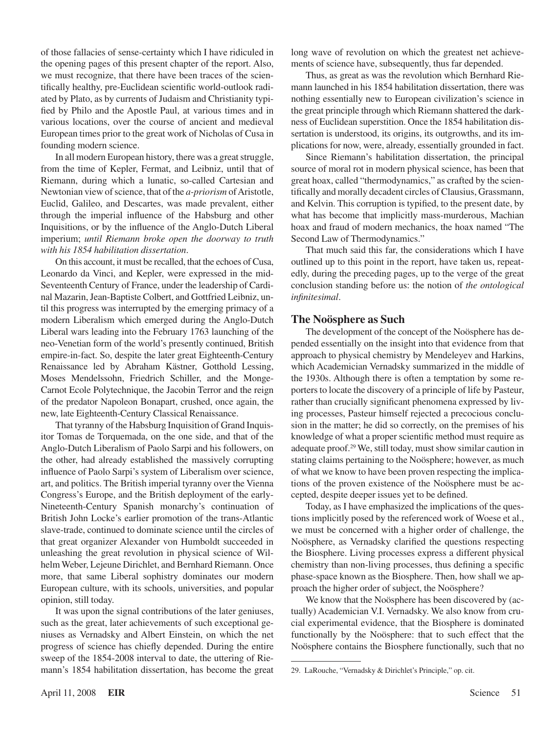of those fallacies of sense-certainty which I have ridiculed in the opening pages of this present chapter of the report. Also, we must recognize, that there have been traces of the scientifically healthy, pre-Euclidean scientific world-outlook radiated by Plato, as by currents of Judaism and Christianity typified by Philo and the Apostle Paul, at various times and in various locations, over the course of ancient and medieval European times prior to the great work of Nicholas of Cusa in founding modern science.

In all modern European history, there was a great struggle, from the time of Kepler, Fermat, and Leibniz, until that of Riemann, during which a lunatic, so-called Cartesian and Newtonian view of science, that of the *a-priorism* of Aristotle, Euclid, Galileo, and Descartes, was made prevalent, either through the imperial influence of the Habsburg and other Inquisitions, or by the influence of the Anglo-Dutch Liberal imperium; *until Riemann broke open the doorway to truth with his 1854 habilitation dissertation*.

On this account, it must be recalled, that the echoes of Cusa, Leonardo da Vinci, and Kepler, were expressed in the mid-Seventeenth Century of France, under the leadership of Cardinal Mazarin, Jean-Baptiste Colbert, and Gottfried Leibniz, until this progress was interrupted by the emerging primacy of a modern Liberalism which emerged during the Anglo-Dutch Liberal wars leading into the February 1763 launching of the neo-Venetian form of the world's presently continued, British empire-in-fact. So, despite the later great Eighteenth-Century Renaissance led by Abraham Kästner, Gotthold Lessing, Moses Mendelssohn, Friedrich Schiller, and the Monge-Carnot Ecole Polytechnique, the Jacobin Terror and the reign of the predator Napoleon Bonapart, crushed, once again, the new, late Eighteenth-Century Classical Renaissance.

That tyranny of the Habsburg Inquisition of Grand Inquisitor Tomas de Torquemada, on the one side, and that of the Anglo-Dutch Liberalism of Paolo Sarpi and his followers, on the other, had already established the massively corrupting influence of Paolo Sarpi's system of Liberalism over science, art, and politics. The British imperial tyranny over the Vienna Congress's Europe, and the British deployment of the early-Nineteenth-Century Spanish monarchy's continuation of British John Locke's earlier promotion of the trans-Atlantic slave-trade, continued to dominate science until the circles of that great organizer Alexander von Humboldt succeeded in unleashing the great revolution in physical science of Wilhelm Weber, Lejeune Dirichlet, and Bernhard Riemann. Once more, that same Liberal sophistry dominates our modern European culture, with its schools, universities, and popular opinion, still today.

It was upon the signal contributions of the later geniuses, such as the great, later achievements of such exceptional geniuses as Vernadsky and Albert Einstein, on which the net progress of science has chiefly depended. During the entire sweep of the 1854-2008 interval to date, the uttering of Riemann's 1854 habilitation dissertation, has become the great long wave of revolution on which the greatest net achievements of science have, subsequently, thus far depended.

Thus, as great as was the revolution which Bernhard Riemann launched in his 1854 habilitation dissertation, there was nothing essentially new to European civilization's science in the great principle through which Riemann shattered the darkness of Euclidean superstition. Once the 1854 habilitation dissertation is understood, its origins, its outgrowths, and its implications for now, were, already, essentially grounded in fact.

Since Riemann's habilitation dissertation, the principal source of moral rot in modern physical science, has been that great hoax, called "thermodynamics," as crafted by the scientifically and morally decadent circles of Clausius, Grassmann, and Kelvin. This corruption is typified, to the present date, by what has become that implicitly mass-murderous, Machian hoax and fraud of modern mechanics, the hoax named "The Second Law of Thermodynamics."

That much said this far, the considerations which I have outlined up to this point in the report, have taken us, repeatedly, during the preceding pages, up to the verge of the great conclusion standing before us: the notion of *the ontological infinitesimal*.

#### **The Noösphere as Such**

The development of the concept of the Noösphere has depended essentially on the insight into that evidence from that approach to physical chemistry by Mendeleyev and Harkins, which Academician Vernadsky summarized in the middle of the 1930s. Although there is often a temptation by some reporters to locate the discovery of a principle of life by Pasteur, rather than crucially significant phenomena expressed by living processes, Pasteur himself rejected a precocious conclusion in the matter; he did so correctly, on the premises of his knowledge of what a proper scientific method must require as adequate proof.<sup>29</sup> We, still today, must show similar caution in stating claims pertaining to the Noösphere; however, as much of what we know to have been proven respecting the implications of the proven existence of the Noösphere must be accepted, despite deeper issues yet to be defined.

Today, as I have emphasized the implications of the questions implicitly posed by the referenced work of Woese et al., we must be concerned with a higher order of challenge, the Noösphere, as Vernadsky clarified the questions respecting the Biosphere. Living processes express a different physical chemistry than non-living processes, thus defining a specific phase-space known as the Biosphere. Then, how shall we approach the higher order of subject, the Noösphere?

We know that the Noösphere has been discovered by (actually) Academician V.I. Vernadsky. We also know from crucial experimental evidence, that the Biosphere is dominated functionally by the Noösphere: that to such effect that the Noösphere contains the Biosphere functionally, such that no

<sup>29.</sup> LaRouche, "Vernadsky & Dirichlet's Principle," op. cit.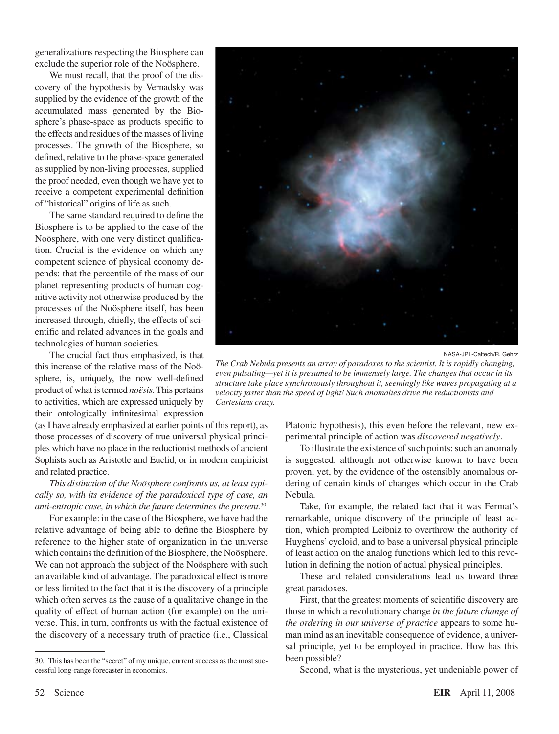generalizations respecting the Biosphere can exclude the superior role of the Noösphere.

We must recall, that the proof of the discovery of the hypothesis by Vernadsky was supplied by the evidence of the growth of the accumulated mass generated by the Biosphere's phase-space as products specific to the effects and residues of the masses of living processes. The growth of the Biosphere, so defined, relative to the phase-space generated as supplied by non-living processes, supplied the proof needed, even though we have yet to receive a competent experimental definition of "historical" origins of life as such.

The same standard required to define the Biosphere is to be applied to the case of the Noösphere, with one very distinct qualification. Crucial is the evidence on which any competent science of physical economy depends: that the percentile of the mass of our planet representing products of human cognitive activity not otherwise produced by the processes of the Noösphere itself, has been increased through, chiefly, the effects of scientific and related advances in the goals and technologies of human societies.

The crucial fact thus emphasized, is that this increase of the relative mass of the Noösphere, is, uniquely, the now well-defined product of what istermed *noësis*.This pertains to activities, which are expressed uniquely by their ontologically infinitesimal expression

(asI have already emphasized at earlier points of thisreport), as those processes of discovery of true universal physical principles which have no place in the reductionist methods of ancient Sophists such as Aristotle and Euclid, or in modern empiricist and related practice.

*This distinction of the Noösphere confronts us, at least typically so, with its evidence of the paradoxical type of case, an anti-entropic case, in which the future determines the present.*<sup>30</sup>

For example: in the case of the Biosphere, we have had the relative advantage of being able to define the Biosphere by reference to the higher state of organization in the universe which contains the definition of the Biosphere, the Noösphere. We can not approach the subject of the Noösphere with such an available kind of advantage. The paradoxical effect is more or less limited to the fact that it is the discovery of a principle which often serves as the cause of a qualitative change in the quality of effect of human action (for example) on the universe. This, in turn, confronts us with the factual existence of the discovery of a necessary truth of practice (i.e., Classical



NASA-JPL-Caltech/R. Gehrz

*The Crab Nebula presents an array of paradoxes to the scientist. It is rapidly changing, even pulsating—yet it is presumed to be immensely large. The changes that occur in its structure take place synchronously throughout it, seemingly like waves propagating at a velocity faster than the speed of light! Such anomalies drive the reductionists and Cartesians crazy.*

Platonic hypothesis), this even before the relevant, new experimental principle of action was *discovered negatively*.

To illustrate the existence of such points: such an anomaly is suggested, although not otherwise known to have been proven, yet, by the evidence of the ostensibly anomalous ordering of certain kinds of changes which occur in the Crab Nebula.

Take, for example, the related fact that it was Fermat's remarkable, unique discovery of the principle of least ac tion, which prompted Leibniz to overthrow the authority of Huyghens' cycloid, and to base a universal physical principle of least action on the analog functions which led to this revolution in defining the notion of actual physical principles.

These and related considerations lead us toward three great paradoxes.

First, that the greatest moments of scientific discovery are those in which a revolutionary change *in the future change of the ordering in our universe of practice* appears to some human mind as an inevitable consequence of evidence, a universal principle, yet to be employed in practice. How has this been possible?

Second, what is the mysterious, yet undeniable power of

<sup>30.</sup> This has been the "secret" of my unique, current success as the most successful long-range forecaster in economics.